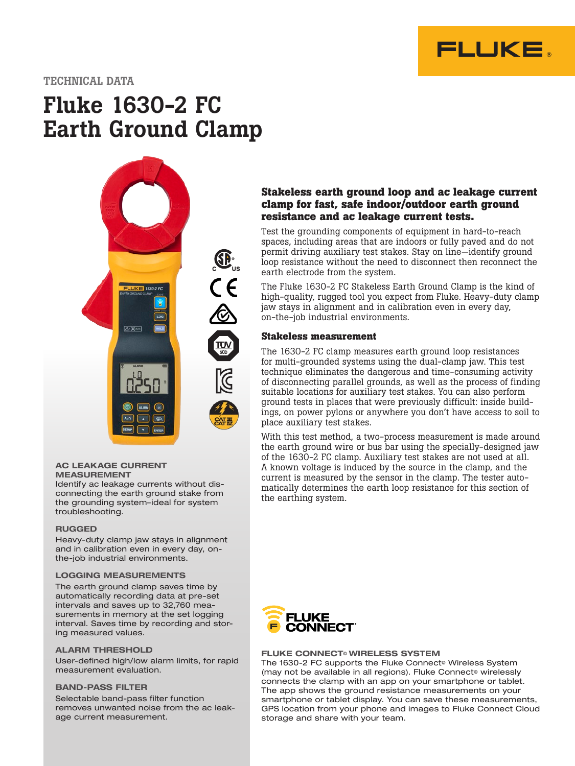

# TECHNICAL DATA

# Fluke 1630-2 FC Earth Ground Clamp



#### AC LEAKAGE CURRENT MEASUREMENT

Identify ac leakage currents without disconnecting the earth ground stake from the grounding system–ideal for system troubleshooting.

#### RUGGED

Heavy-duty clamp jaw stays in alignment and in calibration even in every day, onthe-job industrial environments.

#### LOGGING MEASUREMENTS

The earth ground clamp saves time by automatically recording data at pre-set intervals and saves up to 32,760 measurements in memory at the set logging interval. Saves time by recording and storing measured values.

#### ALARM THRESHOLD

User-defined high/low alarm limits, for rapid measurement evaluation.

#### BAND-PASS FILTER

Selectable band-pass filter function removes unwanted noise from the ac leakage current measurement.

# **Stakeless earth ground loop and ac leakage current clamp for fast, safe indoor/outdoor earth ground resistance and ac leakage current tests.**

Test the grounding components of equipment in hard-to-reach spaces, including areas that are indoors or fully paved and do not permit driving auxiliary test stakes. Stay on line—identify ground loop resistance without the need to disconnect then reconnect the earth electrode from the system.

The Fluke 1630-2 FC Stakeless Earth Ground Clamp is the kind of high-quality, rugged tool you expect from Fluke. Heavy-duty clamp jaw stays in alignment and in calibration even in every day, on-the-job industrial environments.

#### **Stakeless measurement**

The 1630-2 FC clamp measures earth ground loop resistances for multi-grounded systems using the dual-clamp jaw. This test technique eliminates the dangerous and time-consuming activity of disconnecting parallel grounds, as well as the process of finding suitable locations for auxiliary test stakes. You can also perform ground tests in places that were previously difficult: inside buildings, on power pylons or anywhere you don't have access to soil to place auxiliary test stakes.

With this test method, a two-process measurement is made around the earth ground wire or bus bar using the specially-designed jaw of the 1630-2 FC clamp. Auxiliary test stakes are not used at all. A known voltage is induced by the source in the clamp, and the current is measured by the sensor in the clamp. The tester automatically determines the earth loop resistance for this section of the earthing system.



#### **FLUKE CONNECT<sup>®</sup> WIRELESS SYSTEM**

The 1630-2 FC supports the Fluke Connect<sup>®</sup> Wireless System (may not be available in all regions). Fluke Connect<sup>®</sup> wirelessly connects the clamp with an app on your smartphone or tablet. The app shows the ground resistance measurements on your smartphone or tablet display. You can save these measurements, GPS location from your phone and images to Fluke Connect Cloud storage and share with your team.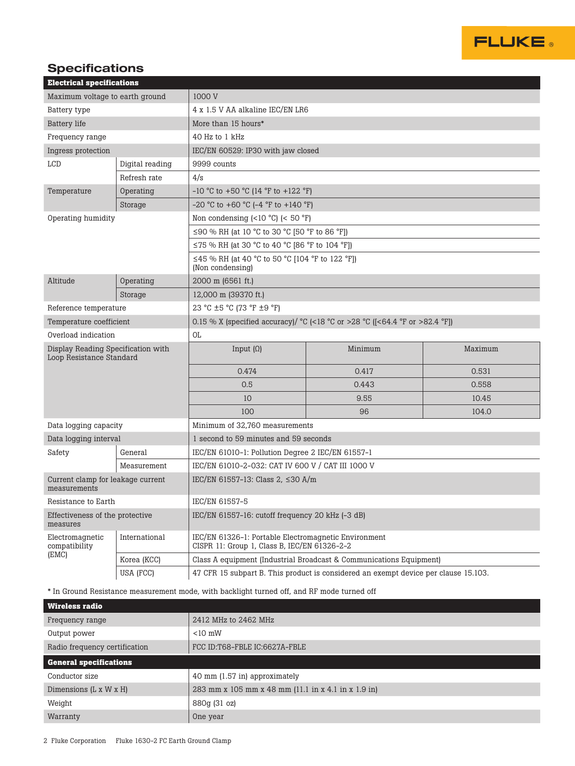

# **Specifications**

| <b>Electrical specifications</b>                               |                 |                                                                                                                                |         |         |  |  |
|----------------------------------------------------------------|-----------------|--------------------------------------------------------------------------------------------------------------------------------|---------|---------|--|--|
| Maximum voltage to earth ground                                |                 | 1000 V                                                                                                                         |         |         |  |  |
| Battery type                                                   |                 | 4 x 1.5 V AA alkaline IEC/EN LR6                                                                                               |         |         |  |  |
| <b>Battery</b> life                                            |                 | More than 15 hours*                                                                                                            |         |         |  |  |
| Frequency range                                                |                 | 40 Hz to 1 kHz                                                                                                                 |         |         |  |  |
| Ingress protection                                             |                 | IEC/EN 60529: IP30 with jaw closed                                                                                             |         |         |  |  |
| <b>LCD</b>                                                     | Digital reading | 9999 counts                                                                                                                    |         |         |  |  |
|                                                                | Refresh rate    | 4/s                                                                                                                            |         |         |  |  |
| Temperature                                                    | Operating       | $-10$ °C to $+50$ °C (14 °F to $+122$ °F)                                                                                      |         |         |  |  |
|                                                                | Storage         | $-20$ °C to $+60$ °C ( $-4$ °F to $+140$ °F)                                                                                   |         |         |  |  |
| Operating humidity                                             |                 | Non condensing $(<10 °C)$ $(< 50 °F)$                                                                                          |         |         |  |  |
|                                                                |                 | ≤90 % RH (at 10 °C to 30 °C [50 °F to 86 °F])                                                                                  |         |         |  |  |
|                                                                |                 | ≤75 % RH (at 30 °C to 40 °C [86 °F to 104 °F])                                                                                 |         |         |  |  |
|                                                                |                 | ≤45 % RH (at 40 °C to 50 °C [104 °F to 122 °F])<br>(Non condensing)                                                            |         |         |  |  |
| Altitude                                                       | Operating       | 2000 m (6561 ft.)                                                                                                              |         |         |  |  |
|                                                                | Storage         | 12,000 m (39370 ft.)                                                                                                           |         |         |  |  |
| Reference temperature                                          |                 | 23 °C ±5 °C (73 °F ±9 °F)                                                                                                      |         |         |  |  |
| Temperature coefficient                                        |                 | 0.15 % X (specified accuracy)/ $^{\circ}$ C (<18 $^{\circ}$ C or >28 $^{\circ}$ C ((<64.4 $^{\circ}$ F or >82.4 $^{\circ}$ F)) |         |         |  |  |
| Overload indication                                            |                 | OL.                                                                                                                            |         |         |  |  |
| Display Reading Specification with<br>Loop Resistance Standard |                 | Input $(\Omega)$                                                                                                               | Minimum | Maximum |  |  |
|                                                                |                 | 0.474                                                                                                                          | 0.417   | 0.531   |  |  |
|                                                                |                 | 0.5                                                                                                                            | 0.443   | 0.558   |  |  |
|                                                                |                 | 10                                                                                                                             | 9.55    | 10.45   |  |  |
|                                                                |                 | 100                                                                                                                            | 96      | 104.0   |  |  |
| Data logging capacity                                          |                 | Minimum of 32,760 measurements                                                                                                 |         |         |  |  |
| Data logging interval                                          |                 | 1 second to 59 minutes and 59 seconds                                                                                          |         |         |  |  |
| Safety                                                         | General         | IEC/EN 61010-1: Pollution Degree 2 IEC/EN 61557-1                                                                              |         |         |  |  |
|                                                                | Measurement     | IEC/EN 61010-2-032: CAT IV 600 V / CAT III 1000 V                                                                              |         |         |  |  |
| Current clamp for leakage current<br>measurements              |                 | IEC/EN 61557-13: Class 2, ≤30 A/m                                                                                              |         |         |  |  |
| Resistance to Earth                                            |                 | IEC/EN 61557-5                                                                                                                 |         |         |  |  |
| Effectiveness of the protective<br>measures                    |                 | IEC/EN 61557-16: cutoff frequency 20 kHz (-3 dB)                                                                               |         |         |  |  |
| Electromagnetic<br>compatibility<br>(EMC)                      | International   | IEC/EN 61326-1: Portable Electromagnetic Environment<br>CISPR 11: Group 1, Class B, IEC/EN 61326-2-2                           |         |         |  |  |
|                                                                | Korea (KCC)     | Class A equipment (Industrial Broadcast & Communications Equipment)                                                            |         |         |  |  |
|                                                                | USA (FCC)       | 47 CFR 15 subpart B. This product is considered an exempt device per clause 15.103.                                            |         |         |  |  |

\* In Ground Resistance measurement mode, with backlight turned off, and RF mode turned off

| <b>Wireless radio</b>         |                                                     |  |  |  |
|-------------------------------|-----------------------------------------------------|--|--|--|
| Frequency range               | 2412 MHz to 2462 MHz                                |  |  |  |
| Output power                  | $< 10$ mW                                           |  |  |  |
| Radio frequency certification | FCC ID:T68-FBLE IC:6627A-FBLE                       |  |  |  |
| <b>General specifications</b> |                                                     |  |  |  |
| Conductor size                | 40 mm (1.57 in) approximately                       |  |  |  |
| Dimensions (L x W x H)        | 283 mm x 105 mm x 48 mm (11.1 in x 4.1 in x 1.9 in) |  |  |  |
| Weight                        | 880g (31 oz)                                        |  |  |  |
| Warranty                      | One year                                            |  |  |  |